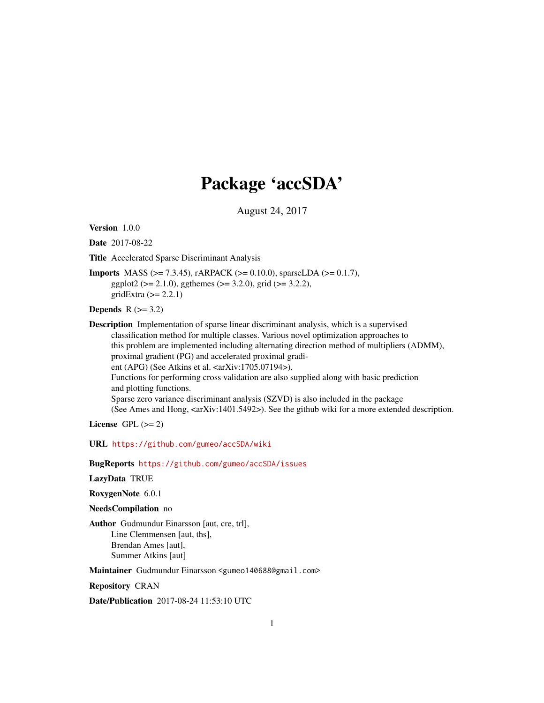# Package 'accSDA'

August 24, 2017

<span id="page-0-0"></span>Version 1.0.0

Date 2017-08-22

Title Accelerated Sparse Discriminant Analysis

Imports MASS (>= 7.3.45), rARPACK (>= 0.10.0), sparseLDA (>= 0.1.7), ggplot2 ( $> = 2.1.0$ ), ggthemes ( $> = 3.2.0$ ), grid ( $> = 3.2.2$ ), gridExtra  $(>= 2.2.1)$ 

Depends  $R$  ( $>= 3.2$ )

Description Implementation of sparse linear discriminant analysis, which is a supervised classification method for multiple classes. Various novel optimization approaches to this problem are implemented including alternating direction method of multipliers (ADMM), proximal gradient (PG) and accelerated proximal gradient (APG) (See Atkins et al. <arXiv:1705.07194>). Functions for performing cross validation are also supplied along with basic prediction and plotting functions. Sparse zero variance discriminant analysis (SZVD) is also included in the package (See Ames and Hong,  $\langle \text{arXiv:1401.5492} \rangle$ ). See the github wiki for a more extended description.

License GPL  $(>= 2)$ 

URL <https://github.com/gumeo/accSDA/wiki>

BugReports <https://github.com/gumeo/accSDA/issues>

LazyData TRUE

RoxygenNote 6.0.1

NeedsCompilation no

Author Gudmundur Einarsson [aut, cre, trl], Line Clemmensen [aut, ths], Brendan Ames [aut], Summer Atkins [aut]

Maintainer Gudmundur Einarsson <gumeo140688@gmail.com>

Repository CRAN

Date/Publication 2017-08-24 11:53:10 UTC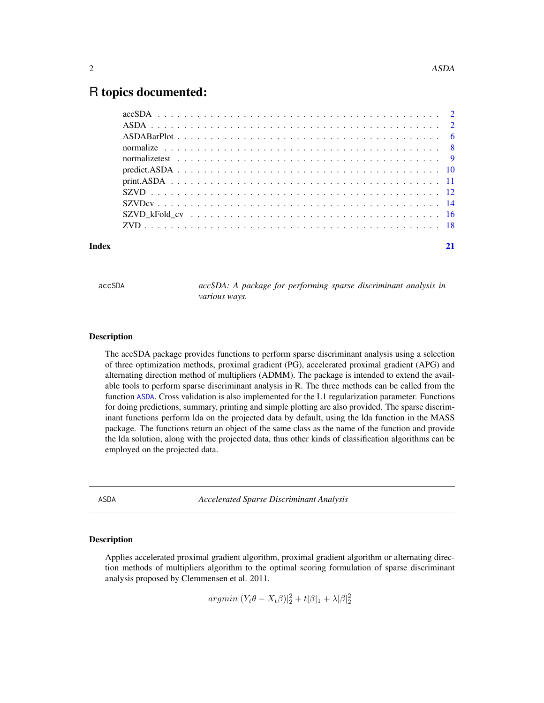# <span id="page-1-0"></span>R topics documented:

| Index |  |
|-------|--|

accSDA *accSDA: A package for performing sparse discriminant analysis in various ways.*

# Description

The accSDA package provides functions to perform sparse discriminant analysis using a selection of three optimization methods, proximal gradient (PG), accelerated proximal gradient (APG) and alternating direction method of multipliers (ADMM). The package is intended to extend the available tools to perform sparse discriminant analysis in R. The three methods can be called from the function [ASDA](#page-1-1). Cross validation is also implemented for the L1 regularization parameter. Functions for doing predictions, summary, printing and simple plotting are also provided. The sparse discriminant functions perform lda on the projected data by default, using the lda function in the MASS package. The functions return an object of the same class as the name of the function and provide the lda solution, along with the projected data, thus other kinds of classification algorithms can be employed on the projected data.

<span id="page-1-1"></span>ASDA *Accelerated Sparse Discriminant Analysis*

#### Description

Applies accelerated proximal gradient algorithm, proximal gradient algorithm or alternating direction methods of multipliers algorithm to the optimal scoring formulation of sparse discriminant analysis proposed by Clemmensen et al. 2011.

 $argmin |(Y_t \theta - X_t \beta)|_2^2 + t |\beta|_1 + \lambda |\beta|_2^2$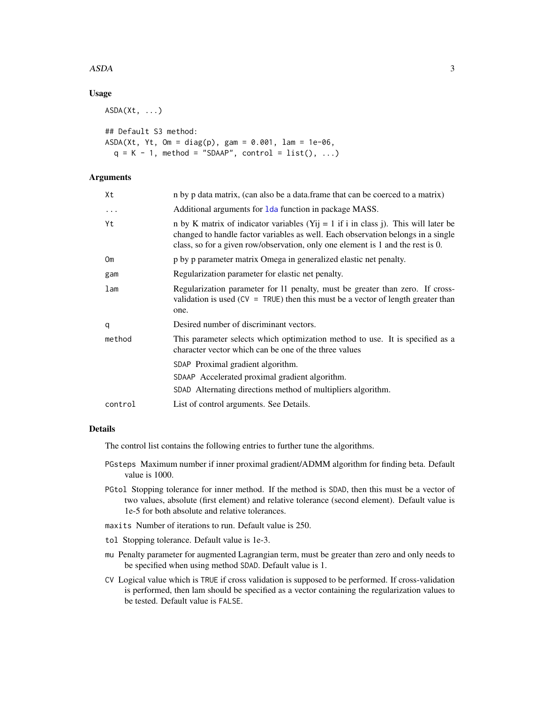#### <span id="page-2-0"></span> $ASDA$  3

# Usage

 $ASDA(Xt, \ldots)$ 

```
## Default S3 method:
ASDA(Xt, Yt, Om = diag(p), gam = 0.001, lam = 1e-06,q = K - 1, method = "SDAAP", control = list(), ...)
```
# Arguments

| Xt              | n by p data matrix, (can also be a data.frame that can be coerced to a matrix)                                                                                                                                                                            |
|-----------------|-----------------------------------------------------------------------------------------------------------------------------------------------------------------------------------------------------------------------------------------------------------|
| $\cdots$        | Additional arguments for 1 da function in package MASS.                                                                                                                                                                                                   |
| Yt              | n by K matrix of indicator variables (Yij = 1 if i in class j). This will later be<br>changed to handle factor variables as well. Each observation belongs in a single<br>class, so for a given row/observation, only one element is 1 and the rest is 0. |
| Om              | p by p parameter matrix Omega in generalized elastic net penalty.                                                                                                                                                                                         |
| gam             | Regularization parameter for elastic net penalty.                                                                                                                                                                                                         |
| 1 <sub>am</sub> | Regularization parameter for 11 penalty, must be greater than zero. If cross-<br>validation is used ( $CV = TRUE$ ) then this must be a vector of length greater than<br>one.                                                                             |
| q               | Desired number of discriminant vectors.                                                                                                                                                                                                                   |
| method          | This parameter selects which optimization method to use. It is specified as a<br>character vector which can be one of the three values                                                                                                                    |
|                 | SDAP Proximal gradient algorithm.                                                                                                                                                                                                                         |
|                 | SDAAP Accelerated proximal gradient algorithm.                                                                                                                                                                                                            |
|                 | SDAD Alternating directions method of multipliers algorithm.                                                                                                                                                                                              |
| control         | List of control arguments. See Details.                                                                                                                                                                                                                   |

# Details

The control list contains the following entries to further tune the algorithms.

- PGsteps Maximum number if inner proximal gradient/ADMM algorithm for finding beta. Default value is 1000.
- PGtol Stopping tolerance for inner method. If the method is SDAD, then this must be a vector of two values, absolute (first element) and relative tolerance (second element). Default value is 1e-5 for both absolute and relative tolerances.
- maxits Number of iterations to run. Default value is 250.
- tol Stopping tolerance. Default value is 1e-3.
- mu Penalty parameter for augmented Lagrangian term, must be greater than zero and only needs to be specified when using method SDAD. Default value is 1.
- CV Logical value which is TRUE if cross validation is supposed to be performed. If cross-validation is performed, then lam should be specified as a vector containing the regularization values to be tested. Default value is FALSE.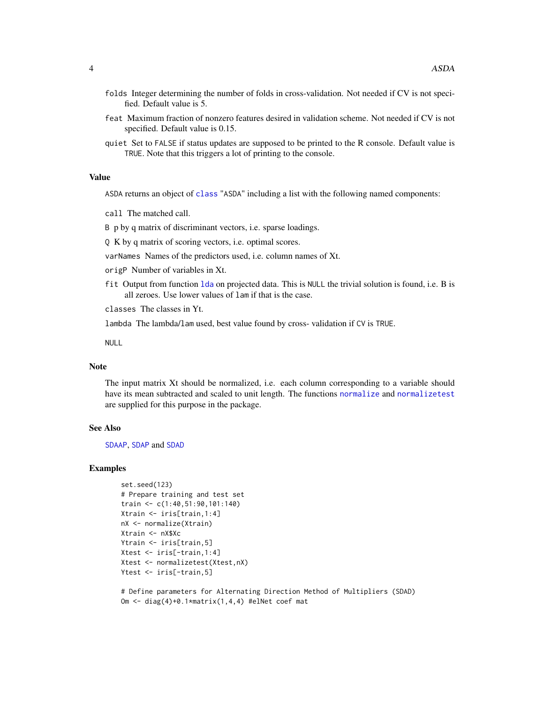- <span id="page-3-0"></span>folds Integer determining the number of folds in cross-validation. Not needed if CV is not specified. Default value is 5.
- feat Maximum fraction of nonzero features desired in validation scheme. Not needed if CV is not specified. Default value is 0.15.
- quiet Set to FALSE if status updates are supposed to be printed to the R console. Default value is TRUE. Note that this triggers a lot of printing to the console.

# Value

ASDA returns an object of [class](#page-0-0) "ASDA" including a list with the following named components:

call The matched call.

B p by q matrix of discriminant vectors, i.e. sparse loadings.

Q K by q matrix of scoring vectors, i.e. optimal scores.

varNames Names of the predictors used, i.e. column names of Xt.

origP Number of variables in Xt.

fit Output from function [lda](#page-0-0) on projected data. This is NULL the trivial solution is found, i.e. B is all zeroes. Use lower values of lam if that is the case.

classes The classes in Yt.

lambda The lambda/lam used, best value found by cross- validation if CV is TRUE.

NULL

### Note

The input matrix Xt should be normalized, i.e. each column corresponding to a variable should have its mean subtracted and scaled to unit length. The functions [normalize](#page-7-1) and [normalizetest](#page-8-1) are supplied for this purpose in the package.

# See Also

[SDAAP](#page-0-0), [SDAP](#page-0-0) and [SDAD](#page-0-0)

#### Examples

```
set.seed(123)
# Prepare training and test set
train <- c(1:40,51:90,101:140)
Xtrain <- iris[train,1:4]
nX <- normalize(Xtrain)
Xtrain <- nX$Xc
Ytrain <- iris[train,5]
Xtest <- iris[-train,1:4]
Xtest <- normalizetest(Xtest,nX)
Ytest <- iris[-train,5]
```
# Define parameters for Alternating Direction Method of Multipliers (SDAD) Om <- diag(4)+0.1\*matrix(1,4,4) #elNet coef mat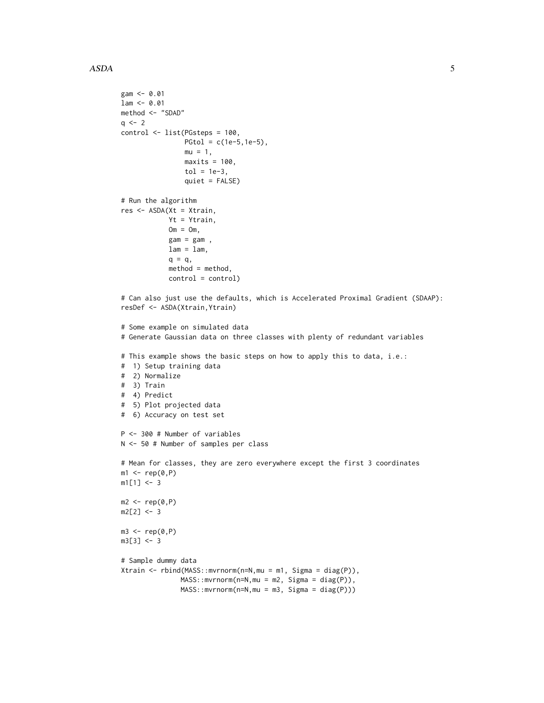```
gam <- 0.01
lam < -0.01method <- "SDAD"
q \leq -2control <- list(PGsteps = 100,
                PGtol = c(1e-5, 1e-5),mu = 1,
                maxits = 100,
                tol = 1e-3,
                quiet = FALSE)
# Run the algorithm
res <- ASDA(Xt = Xtrain,
            Yt = Ytrain,
            Om = Om,gam = gam,
            lam = lam,q = q,
            method = method,
            control = control)
# Can also just use the defaults, which is Accelerated Proximal Gradient (SDAAP):
resDef <- ASDA(Xtrain,Ytrain)
# Some example on simulated data
# Generate Gaussian data on three classes with plenty of redundant variables
# This example shows the basic steps on how to apply this to data, i.e.:
# 1) Setup training data
# 2) Normalize
# 3) Train
# 4) Predict
# 5) Plot projected data
# 6) Accuracy on test set
P <- 300 # Number of variables
N <- 50 # Number of samples per class
# Mean for classes, they are zero everywhere except the first 3 coordinates
m1 \leftarrow rep(0, P)m1[1] < -3m2 < -\text{rep}(0, P)m2[2] < -3m3 \leq -rep(0, P)m3[3] < -3# Sample dummy data
Xtrain <- rbind(MASS::mvrnorm(n=N,mu = m1, Sigma = diag(P)),
               MASS::mvrnorm(n=N,mu = m2, Sigma = diag(P)),
               MASS::mvrnorm(n=N,mu = m3, Sigma = diag(P)))
```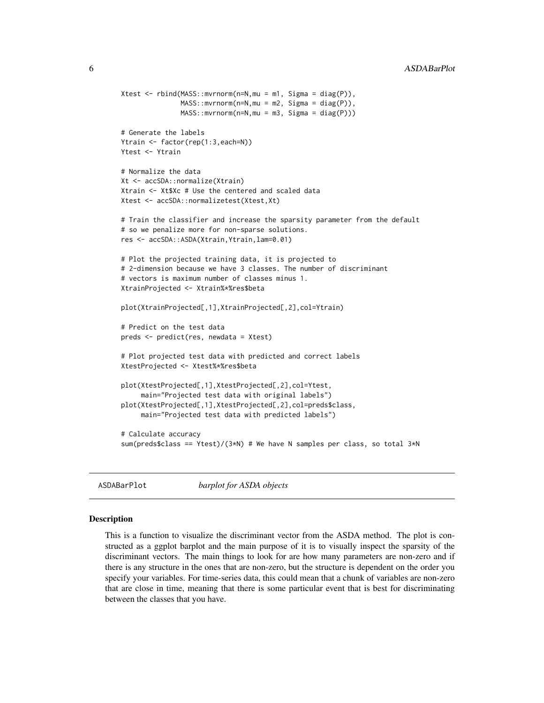```
Xtest \leq rbind(MASS::mvrnorm(n=N,mu = m1, Sigma = diag(P)),
               MASS::mvrnorm(n=N,mu = m2, Sigma = diag(P)),
               MASS::mvrnorm(n=N,mu = m3, Sigma = diag(P)))
# Generate the labels
Ytrain <- factor(rep(1:3,each=N))
Ytest <- Ytrain
# Normalize the data
Xt <- accSDA::normalize(Xtrain)
Xtrain <- Xt$Xc # Use the centered and scaled data
Xtest <- accSDA::normalizetest(Xtest,Xt)
# Train the classifier and increase the sparsity parameter from the default
# so we penalize more for non-sparse solutions.
res <- accSDA::ASDA(Xtrain,Ytrain,lam=0.01)
# Plot the projected training data, it is projected to
# 2-dimension because we have 3 classes. The number of discriminant
# vectors is maximum number of classes minus 1.
XtrainProjected <- Xtrain%*%res$beta
plot(XtrainProjected[,1],XtrainProjected[,2],col=Ytrain)
# Predict on the test data
preds <- predict(res, newdata = Xtest)
# Plot projected test data with predicted and correct labels
XtestProjected <- Xtest%*%res$beta
plot(XtestProjected[,1],XtestProjected[,2],col=Ytest,
     main="Projected test data with original labels")
plot(XtestProjected[,1],XtestProjected[,2],col=preds$class,
     main="Projected test data with predicted labels")
# Calculate accuracy
sum(preds$class == Ytest)/(3*N) # We have N samples per class, so total 3*N
```
ASDABarPlot *barplot for ASDA objects*

### Description

This is a function to visualize the discriminant vector from the ASDA method. The plot is constructed as a ggplot barplot and the main purpose of it is to visually inspect the sparsity of the discriminant vectors. The main things to look for are how many parameters are non-zero and if there is any structure in the ones that are non-zero, but the structure is dependent on the order you specify your variables. For time-series data, this could mean that a chunk of variables are non-zero that are close in time, meaning that there is some particular event that is best for discriminating between the classes that you have.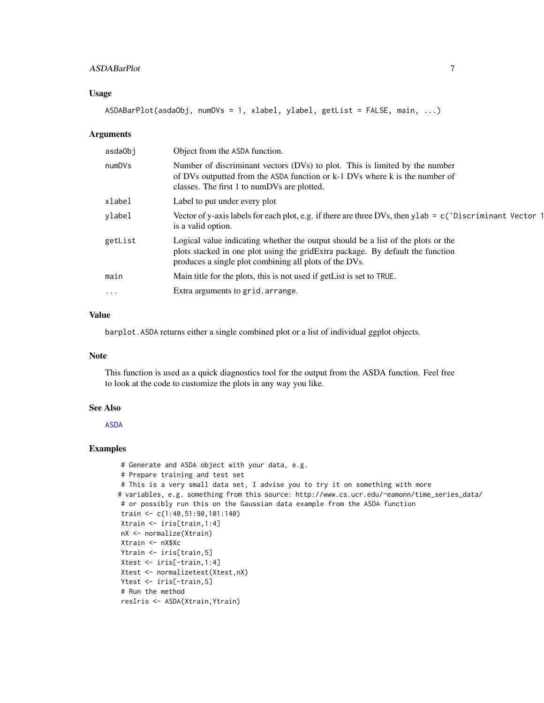# <span id="page-6-0"></span>ASDABarPlot 7

### Usage

ASDABarPlot(asdaObj, numDVs = 1, xlabel, ylabel, getList = FALSE, main, ...)

#### Arguments

| asdaObj  | Object from the ASDA function.                                                                                                                                                                                               |
|----------|------------------------------------------------------------------------------------------------------------------------------------------------------------------------------------------------------------------------------|
| numDVs   | Number of discriminant vectors (DVs) to plot. This is limited by the number<br>of DVs outputted from the ASDA function or k-1 DVs where k is the number of<br>classes. The first 1 to numDVs are plotted.                    |
| xlabel   | Label to put under every plot                                                                                                                                                                                                |
| ylabel   | Vector of y-axis labels for each plot, e.g. if there are three DVs, then ylab = $c$ ('Discriminant Vector 1<br>is a valid option.                                                                                            |
| getList  | Logical value indicating whether the output should be a list of the plots or the<br>plots stacked in one plot using the gridExtra package. By default the function<br>produces a single plot combining all plots of the DVs. |
| main     | Main title for the plots, this is not used if getList is set to TRUE.                                                                                                                                                        |
| $\cdots$ | Extra arguments to grid. arrange.                                                                                                                                                                                            |
|          |                                                                                                                                                                                                                              |

# Value

barplot.ASDA returns either a single combined plot or a list of individual ggplot objects.

# Note

This function is used as a quick diagnostics tool for the output from the ASDA function. Feel free to look at the code to customize the plots in any way you like.

#### See Also

[ASDA](#page-1-1)

# Examples

```
# Generate and ASDA object with your data, e.g.
# Prepare training and test set
# This is a very small data set, I advise you to try it on something with more
# variables, e.g. something from this source: http://www.cs.ucr.edu/~eamonn/time_series_data/
# or possibly run this on the Gaussian data example from the ASDA function
train <- c(1:40,51:90,101:140)
Xtrain <- iris[train,1:4]
nX <- normalize(Xtrain)
Xtrain <- nX$Xc
Ytrain <- iris[train,5]
Xtest <- iris[-train,1:4]
Xtest <- normalizetest(Xtest,nX)
Ytest <- iris[-train,5]
# Run the method
resIris <- ASDA(Xtrain,Ytrain)
```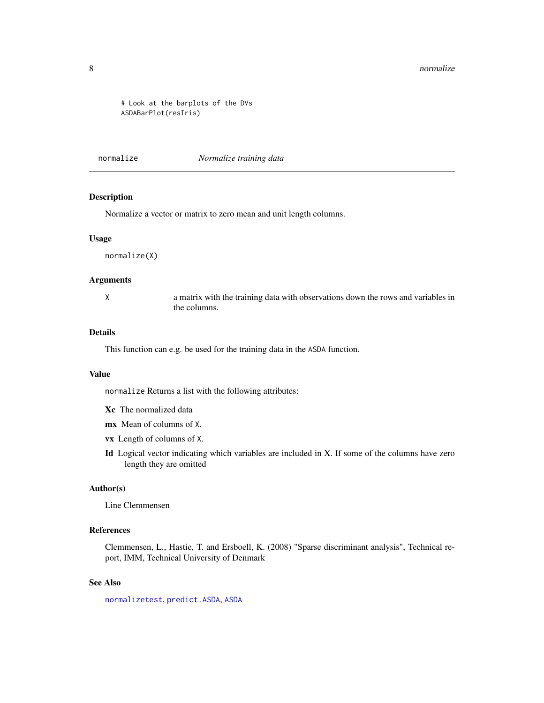#### <span id="page-7-0"></span>8 normalize the contract of the contract of the contract of the contract of the contract of the contract of the contract of the contract of the contract of the contract of the contract of the contract of the contract of th

```
# Look at the barplots of the DVs
ASDABarPlot(resIris)
```
# <span id="page-7-1"></span>normalize *Normalize training data*

# Description

Normalize a vector or matrix to zero mean and unit length columns.

#### Usage

normalize(X)

# Arguments

X a matrix with the training data with observations down the rows and variables in the columns.

# Details

This function can e.g. be used for the training data in the ASDA function.

#### Value

normalize Returns a list with the following attributes:

- Xc The normalized data
- mx Mean of columns of X.
- vx Length of columns of X.
- Id Logical vector indicating which variables are included in X. If some of the columns have zero length they are omitted

# Author(s)

Line Clemmensen

# References

Clemmensen, L., Hastie, T. and Ersboell, K. (2008) "Sparse discriminant analysis", Technical report, IMM, Technical University of Denmark

# See Also

[normalizetest](#page-8-1), [predict.ASDA](#page-9-1), [ASDA](#page-1-1)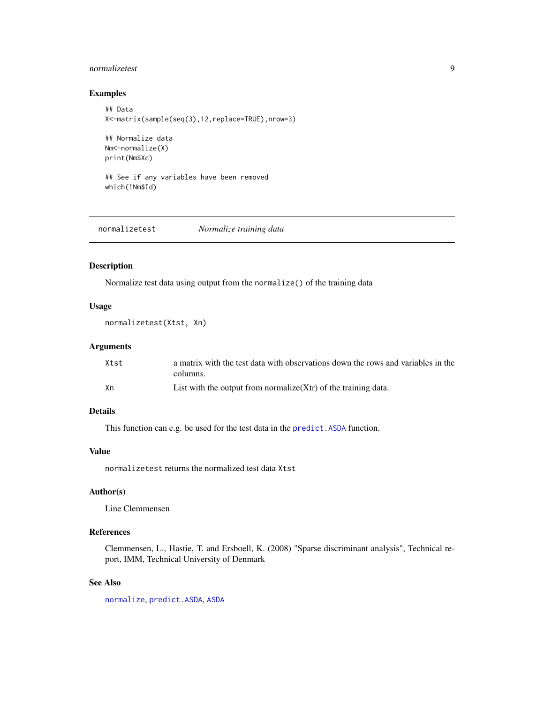# <span id="page-8-0"></span>normalizetest 9

# Examples

```
## Data
X<-matrix(sample(seq(3),12,replace=TRUE),nrow=3)
## Normalize data
Nm<-normalize(X)
print(Nm$Xc)
```

```
## See if any variables have been removed
which(!Nm$Id)
```
<span id="page-8-1"></span>normalizetest *Normalize training data*

# Description

Normalize test data using output from the normalize() of the training data

### Usage

```
normalizetest(Xtst, Xn)
```
# Arguments

| Xtst | a matrix with the test data with observations down the rows and variables in the |
|------|----------------------------------------------------------------------------------|
|      | columns.                                                                         |
| Хn   | List with the output from normalize $(Xtr)$ of the training data.                |

# Details

This function can e.g. be used for the test data in the predict. ASDA function.

# Value

normalizetest returns the normalized test data Xtst

# Author(s)

Line Clemmensen

# References

Clemmensen, L., Hastie, T. and Ersboell, K. (2008) "Sparse discriminant analysis", Technical report, IMM, Technical University of Denmark

# See Also

[normalize](#page-7-1), [predict.ASDA](#page-9-1), [ASDA](#page-1-1)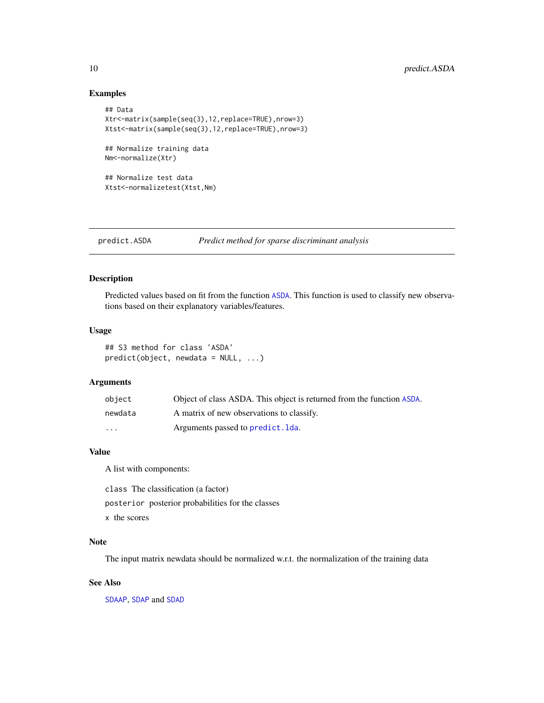# Examples

```
## Data
Xtr<-matrix(sample(seq(3),12,replace=TRUE),nrow=3)
Xtst<-matrix(sample(seq(3),12,replace=TRUE),nrow=3)
## Normalize training data
Nm<-normalize(Xtr)
## Normalize test data
Xtst<-normalizetest(Xtst,Nm)
```
<span id="page-9-1"></span>predict.ASDA *Predict method for sparse discriminant analysis*

# Description

Predicted values based on fit from the function [ASDA](#page-1-1). This function is used to classify new observations based on their explanatory variables/features.

#### Usage

```
## S3 method for class 'ASDA'
predict(object, newdata = NULL, ...)
```
# Arguments

| object   | Object of class ASDA. This object is returned from the function ASDA. |
|----------|-----------------------------------------------------------------------|
| newdata  | A matrix of new observations to classify.                             |
| $\cdots$ | Arguments passed to predict. Ida.                                     |

#### Value

A list with components:

class The classification (a factor)

posterior posterior probabilities for the classes

x the scores

# Note

The input matrix newdata should be normalized w.r.t. the normalization of the training data

#### See Also

[SDAAP](#page-0-0), [SDAP](#page-0-0) and [SDAD](#page-0-0)

<span id="page-9-0"></span>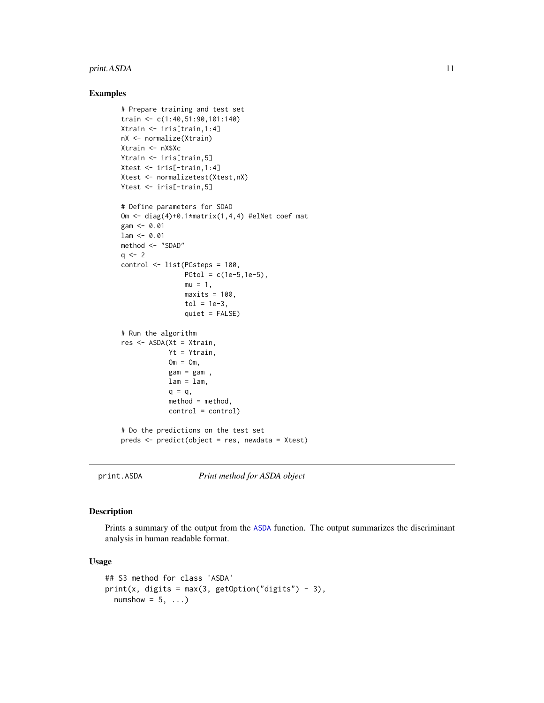# <span id="page-10-0"></span>print.ASDA 11

#### Examples

```
# Prepare training and test set
train <- c(1:40,51:90,101:140)
Xtrain <- iris[train,1:4]
nX <- normalize(Xtrain)
Xtrain <- nX$Xc
Ytrain <- iris[train,5]
Xtest <- iris[-train,1:4]
Xtest <- normalizetest(Xtest,nX)
Ytest <- iris[-train,5]
# Define parameters for SDAD
Om <- diag(4)+0.1*matrix(1,4,4) #elNet coef mat
gam <- 0.01
lam <- 0.01
method <- "SDAD"
q \le -2control <- list(PGsteps = 100,
                PGtol = c(1e-5, 1e-5),mu = 1,
                maxits = 100,
                tol = 1e-3,quiet = FALSE)
# Run the algorithm
res <- ASDA(Xt = Xtrain,
            Yt = Ytrain,
            Om = Om,gam = gam,
            lam = lam,q = q,
            method = method,control = control)
# Do the predictions on the test set
preds <- predict(object = res, newdata = Xtest)
```
print.ASDA *Print method for ASDA object*

#### Description

Prints a summary of the output from the [ASDA](#page-1-1) function. The output summarizes the discriminant analysis in human readable format.

#### Usage

```
## S3 method for class 'ASDA'
print(x, \text{ digits} = max(3, \text{ getOption("digits")} - 3),numshow = 5, ...)
```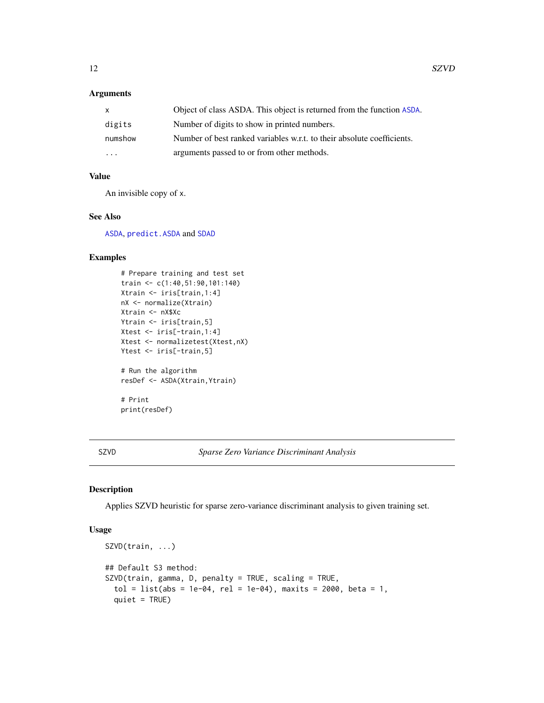# <span id="page-11-0"></span>Arguments

| $\mathsf{x}$            | Object of class ASDA. This object is returned from the function ASDA.  |
|-------------------------|------------------------------------------------------------------------|
| digits                  | Number of digits to show in printed numbers.                           |
| numshow                 | Number of best ranked variables w.r.t. to their absolute coefficients. |
| $\cdot$ $\cdot$ $\cdot$ | arguments passed to or from other methods.                             |

# Value

An invisible copy of x.

# See Also

[ASDA](#page-1-1), [predict.ASDA](#page-9-1) and [SDAD](#page-0-0)

# Examples

```
# Prepare training and test set
train <- c(1:40,51:90,101:140)
Xtrain <- iris[train,1:4]
nX <- normalize(Xtrain)
Xtrain <- nX$Xc
Ytrain <- iris[train,5]
Xtest <- iris[-train,1:4]
Xtest <- normalizetest(Xtest,nX)
Ytest <- iris[-train,5]
# Run the algorithm
resDef <- ASDA(Xtrain,Ytrain)
# Print
print(resDef)
```
<span id="page-11-1"></span>SZVD *Sparse Zero Variance Discriminant Analysis*

# Description

Applies SZVD heuristic for sparse zero-variance discriminant analysis to given training set.

# Usage

```
SZVD(train, ...)
## Default S3 method:
SZVD(train, gamma, D, penalty = TRUE, scaling = TRUE,
  tol = list(abs = 1e-04, rel = 1e-04), maxits = 2000, beta = 1,
  quiet = TRUE)
```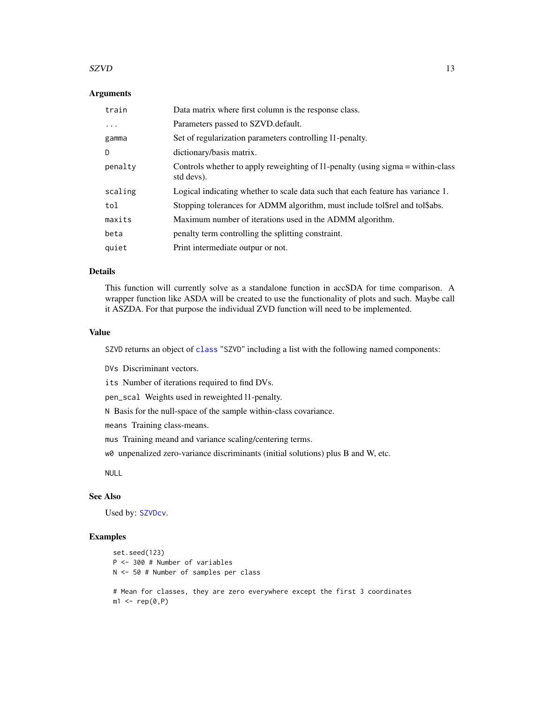#### <span id="page-12-0"></span> $SZVD$  13

# **Arguments**

| train    | Data matrix where first column is the response class.                                         |
|----------|-----------------------------------------------------------------------------------------------|
| $\ddots$ | Parameters passed to SZVD. default.                                                           |
| gamma    | Set of regularization parameters controlling 11-penalty.                                      |
| D        | dictionary/basis matrix.                                                                      |
| penalty  | Controls whether to apply reweighting of 11-penalty (using sigma = within-class<br>std devs). |
| scaling  | Logical indicating whether to scale data such that each feature has variance 1.               |
| tol      | Stopping tolerances for ADMM algorithm, must include tolstel and tolsabs.                     |
| maxits   | Maximum number of iterations used in the ADMM algorithm.                                      |
| beta     | penalty term controlling the splitting constraint.                                            |
| quiet    | Print intermediate outpur or not.                                                             |

# Details

This function will currently solve as a standalone function in accSDA for time comparison. A wrapper function like ASDA will be created to use the functionality of plots and such. Maybe call it ASZDA. For that purpose the individual ZVD function will need to be implemented.

# Value

SZVD returns an object of [class](#page-0-0) "SZVD" including a list with the following named components:

DVs Discriminant vectors.

its Number of iterations required to find DVs.

pen\_scal Weights used in reweighted l1-penalty.

N Basis for the null-space of the sample within-class covariance.

means Training class-means.

mus Training meand and variance scaling/centering terms.

w0 unpenalized zero-variance discriminants (initial solutions) plus B and W, etc.

NULL

### See Also

Used by: [SZVDcv](#page-13-1).

# Examples

```
set.seed(123)
P <- 300 # Number of variables
N <- 50 # Number of samples per class
# Mean for classes, they are zero everywhere except the first 3 coordinates
m1 \leftarrow rep(0, P)
```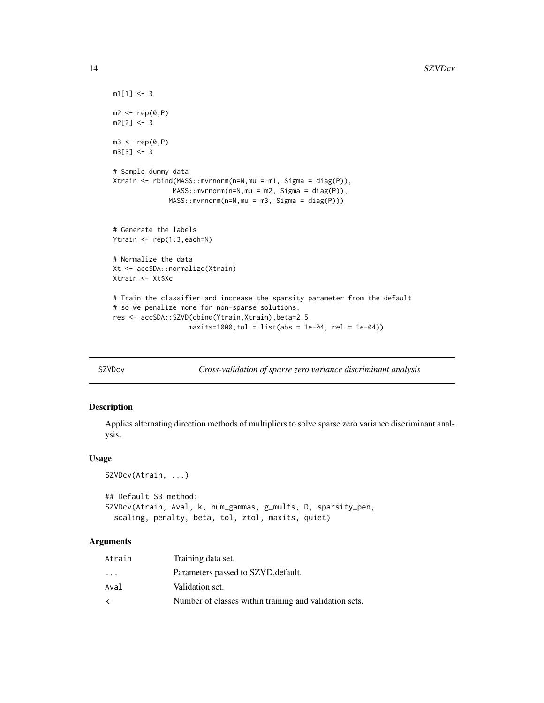```
m1[1] <- 3
m2 < -rep(0, P)m2[2] < -3m3 \leq -rep(0, P)m3[3] < -3# Sample dummy data
Xtrain <- rbind(MASS::mvrnorm(n=N,mu = m1, Sigma = diag(P)),
               MASS::mvrnorm(n=N,mu = m2, Sigma = diag(P)),
              MASS::mvrnorm(n=N,mu = m3, Sigma = diag(P)))
# Generate the labels
Ytrain <- rep(1:3,each=N)
# Normalize the data
Xt <- accSDA::normalize(Xtrain)
Xtrain <- Xt$Xc
# Train the classifier and increase the sparsity parameter from the default
# so we penalize more for non-sparse solutions.
res <- accSDA::SZVD(cbind(Ytrain,Xtrain),beta=2.5,
                   maxits=1000, tol = list(abs = 1e-04, rel = 1e-04)
```
<span id="page-13-1"></span>

SZVDcv *Cross-validation of sparse zero variance discriminant analysis*

#### Description

Applies alternating direction methods of multipliers to solve sparse zero variance discriminant analysis.

# Usage

```
SZVDcv(Atrain, ...)
## Default S3 method:
SZVDcv(Atrain, Aval, k, num_gammas, g_mults, D, sparsity_pen,
  scaling, penalty, beta, tol, ztol, maxits, quiet)
```
# Arguments

| Atrain                  | Training data set.                                     |
|-------------------------|--------------------------------------------------------|
| $\cdot$ $\cdot$ $\cdot$ | Parameters passed to SZVD. default.                    |
| Aval                    | Validation set.                                        |
| k                       | Number of classes within training and validation sets. |

<span id="page-13-0"></span>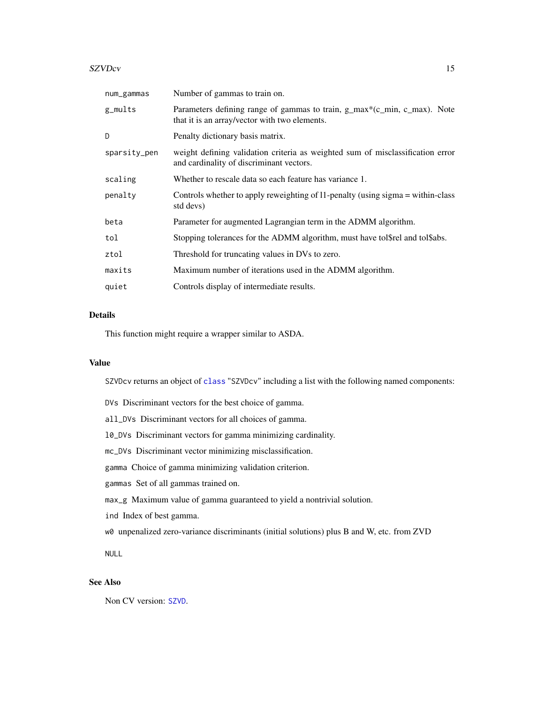#### <span id="page-14-0"></span> $SZVDcv$  15

| num_gammas   | Number of gammas to train on.                                                                                              |
|--------------|----------------------------------------------------------------------------------------------------------------------------|
| g_mults      | Parameters defining range of gammas to train, g_max*(c_min, c_max). Note<br>that it is an array/vector with two elements.  |
| D            | Penalty dictionary basis matrix.                                                                                           |
| sparsity_pen | weight defining validation criteria as weighted sum of misclassification error<br>and cardinality of discriminant vectors. |
| scaling      | Whether to rescale data so each feature has variance 1.                                                                    |
| penalty      | Controls whether to apply reweighting of 11-penalty (using sigma = within-class<br>std devs)                               |
| beta         | Parameter for augmented Lagrangian term in the ADMM algorithm.                                                             |
| tol          | Stopping tolerances for the ADMM algorithm, must have tol\$rel and tol\$abs.                                               |
| ztol         | Threshold for truncating values in DVs to zero.                                                                            |
| maxits       | Maximum number of iterations used in the ADMM algorithm.                                                                   |
| quiet        | Controls display of intermediate results.                                                                                  |

# Details

This function might require a wrapper similar to ASDA.

# Value

SZVDcv returns an object of [class](#page-0-0) "SZVDcv" including a list with the following named components:

DVs Discriminant vectors for the best choice of gamma.

all\_DVs Discriminant vectors for all choices of gamma.

l0\_DVs Discriminant vectors for gamma minimizing cardinality.

mc\_DVs Discriminant vector minimizing misclassification.

gamma Choice of gamma minimizing validation criterion.

gammas Set of all gammas trained on.

max\_g Maximum value of gamma guaranteed to yield a nontrivial solution.

ind Index of best gamma.

w0 unpenalized zero-variance discriminants (initial solutions) plus B and W, etc. from ZVD

NULL

# See Also

Non CV version: [SZVD](#page-11-1).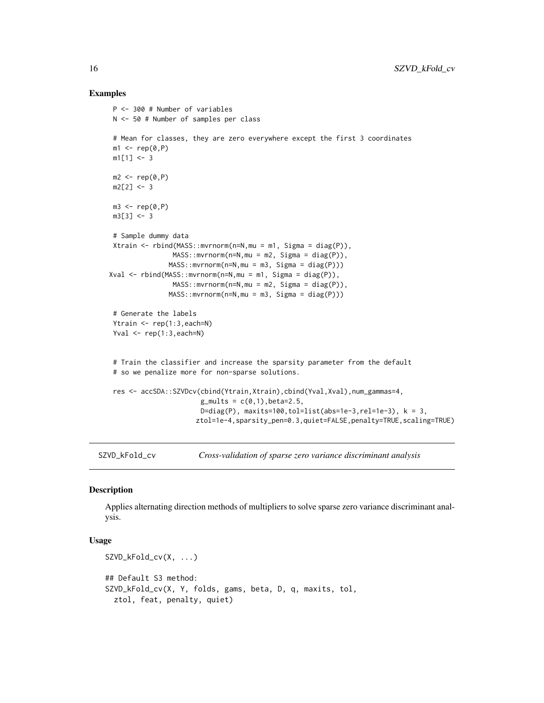### Examples

```
P <- 300 # Number of variables
N <- 50 # Number of samples per class
# Mean for classes, they are zero everywhere except the first 3 coordinates
m1 \leq -\text{rep}(\emptyset, P)m1[1] <- 3
m2 < -\text{rep}(0, P)m2[2] < -3m3 \leq -rep(0, P)m3[3] < -3# Sample dummy data
Xtrain \leftarrow \text{rbind}(\text{MASS}: \text{mvrnorm}(n=N, mu = m1, \text{Sigma} = \text{diag}(P)),MASS::mvrnorm(n=N,mu = m2, Sigma = diag(P)),MASS::mvrnorm(n=N,mu = m3, Sigma = diag(P)))Xval <- rbind(MASS::mvrnorm(n=N,mu = m1, Sigma = diag(P)),
                 MASS::mvrnorm(n=N,mu = m2, Sigma = diag(P)),
                MASS::mvrnorm(n=N,mu = m3, Sigma = diag(P)))
# Generate the labels
Ytrain <- rep(1:3,each=N)
Yval \leq rep(1:3, each=N)
# Train the classifier and increase the sparsity parameter from the default
# so we penalize more for non-sparse solutions.
res <- accSDA::SZVDcv(cbind(Ytrain,Xtrain),cbind(Yval,Xval),num_gammas=4,
                        g_{\text{mults}} = c(0,1), beta=2.5,
                        D=diag(P), maxits=100,tol=list(abs=1e-3,rel=1e-3), k = 3,
                       ztol=1e-4,sparsity_pen=0.3,quiet=FALSE,penalty=TRUE,scaling=TRUE)
```
SZVD\_kFold\_cv *Cross-validation of sparse zero variance discriminant analysis*

# Description

Applies alternating direction methods of multipliers to solve sparse zero variance discriminant analysis.

### Usage

```
SZVD_kFold_cv(X, ...)
## Default S3 method:
SZVD_kFold_cv(X, Y, folds, gams, beta, D, q, maxits, tol,
  ztol, feat, penalty, quiet)
```
<span id="page-15-0"></span>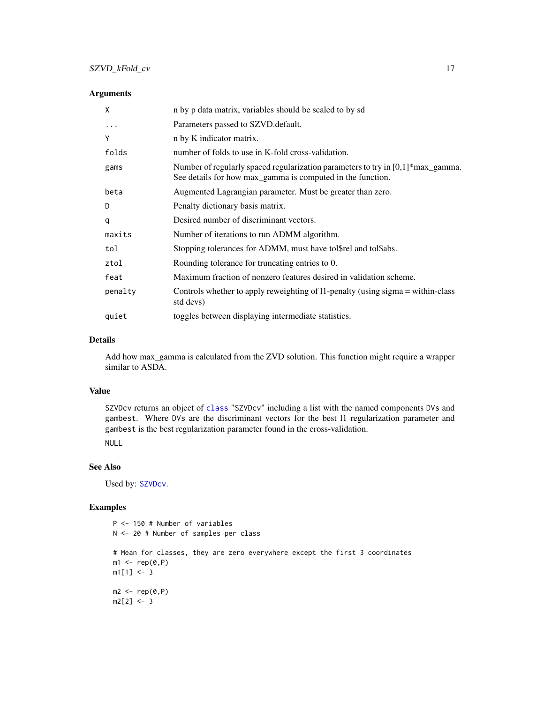# <span id="page-16-0"></span>Arguments

| X       | n by p data matrix, variables should be scaled to by sd                                                                                                |
|---------|--------------------------------------------------------------------------------------------------------------------------------------------------------|
| .       | Parameters passed to SZVD.default.                                                                                                                     |
| Y       | n by K indicator matrix.                                                                                                                               |
| folds   | number of folds to use in K-fold cross-validation.                                                                                                     |
| gams    | Number of regularly spaced regularization parameters to try in $[0,1]*max_{gamma}$ amma.<br>See details for how max_gamma is computed in the function. |
| beta    | Augmented Lagrangian parameter. Must be greater than zero.                                                                                             |
| D       | Penalty dictionary basis matrix.                                                                                                                       |
| q       | Desired number of discriminant vectors.                                                                                                                |
| maxits  | Number of iterations to run ADMM algorithm.                                                                                                            |
| tol     | Stopping tolerances for ADMM, must have tol\$rel and tol\$abs.                                                                                         |
| ztol    | Rounding tolerance for truncating entries to 0.                                                                                                        |
| feat    | Maximum fraction of nonzero features desired in validation scheme.                                                                                     |
| penalty | Controls whether to apply reweighting of 11-penalty (using sigma = within-class<br>std devs)                                                           |
| quiet   | toggles between displaying intermediate statistics.                                                                                                    |

#### Details

Add how max\_gamma is calculated from the ZVD solution. This function might require a wrapper similar to ASDA.

# Value

SZVDcv returns an object of [class](#page-0-0) "SZVDcv" including a list with the named components DVs and gambest. Where DVs are the discriminant vectors for the best l1 regularization parameter and gambest is the best regularization parameter found in the cross-validation. NULL

# See Also

Used by: [SZVDcv](#page-13-1).

# Examples

```
P <- 150 # Number of variables
N <- 20 # Number of samples per class
# Mean for classes, they are zero everywhere except the first 3 coordinates
m1 \leftarrow rep(0, P)m1[1] < -3m2 < - rep(0, P)m2[2] < -3
```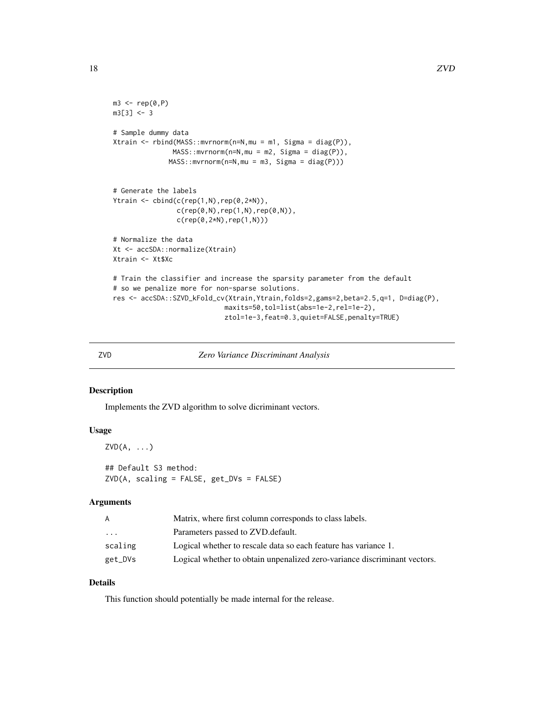```
m3 \leq -rep(0, P)m3[3] < -3# Sample dummy data
Xtrain <- rbind(MASS::mvrnorm(n=N,mu = m1, Sigma = diag(P)),
               MASS::mvrnorm(n=N,mu = m2, Sigma = diag(P)),
              MASS::mvrnorm(n=N,mu = m3, Sigma = diag(P)))
# Generate the labels
Ytrain <- cbind(c(rep(1,N),rep(0,2*N)),
                c(rep(\theta, N), rep(1,N),rep(\theta, N)),c(rep(0,2*N),rep(1,N)))
# Normalize the data
Xt <- accSDA::normalize(Xtrain)
Xtrain <- Xt$Xc
# Train the classifier and increase the sparsity parameter from the default
# so we penalize more for non-sparse solutions.
res <- accSDA::SZVD_kFold_cv(Xtrain,Ytrain,folds=2,gams=2,beta=2.5,q=1, D=diag(P),
                            maxits=50,tol=list(abs=1e-2,rel=1e-2),
                            ztol=1e-3,feat=0.3,quiet=FALSE,penalty=TRUE)
```
#### ZVD *Zero Variance Discriminant Analysis*

# Description

Implements the ZVD algorithm to solve dicriminant vectors.

### Usage

```
ZVD(A, \ldots)## Default S3 method:
ZVD(A, scaling = FALSE, get_DVs = FALSE)
```
#### Arguments

| A        | Matrix, where first column corresponds to class labels.                   |
|----------|---------------------------------------------------------------------------|
| $\ddots$ | Parameters passed to ZVD. default.                                        |
| scaling  | Logical whether to rescale data so each feature has variance 1.           |
| get_DVs  | Logical whether to obtain unpenalized zero-variance discriminant vectors. |

# Details

This function should potentially be made internal for the release.

<span id="page-17-0"></span>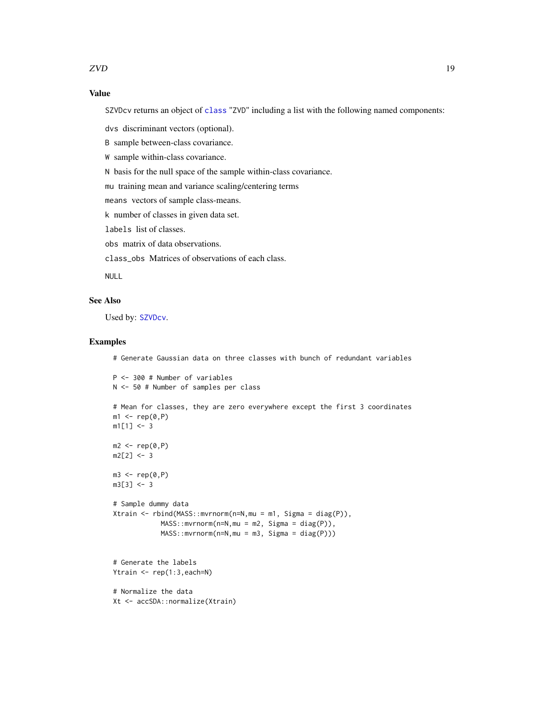# <span id="page-18-0"></span>Value

SZVDcv returns an object of [class](#page-0-0) "ZVD" including a list with the following named components:

dvs discriminant vectors (optional).

B sample between-class covariance.

W sample within-class covariance.

N basis for the null space of the sample within-class covariance.

mu training mean and variance scaling/centering terms

means vectors of sample class-means.

k number of classes in given data set.

labels list of classes.

obs matrix of data observations.

class\_obs Matrices of observations of each class.

NULL

# See Also

Used by: [SZVDcv](#page-13-1).

# Examples

# Generate Gaussian data on three classes with bunch of redundant variables

```
P <- 300 # Number of variables
N <- 50 # Number of samples per class
# Mean for classes, they are zero everywhere except the first 3 coordinates
ml \leftarrow rep(0, P)m1[1] <- 3
m2 < - rep(0, P)m2[2] < -3m3 \leq -rep(0, P)m3[3] < -3# Sample dummy data
Xtrain <- rbind(MASS::mvrnorm(n=N,mu = m1, Sigma = diag(P)),
            MASS::mvrnorm(n=N,mu = m2, Sigma = diag(P)),
            MASS::mvrnorm(n=N,mu = m3, Sigma = diag(P)))
# Generate the labels
Ytrain <- rep(1:3,each=N)
```
# Normalize the data Xt <- accSDA::normalize(Xtrain)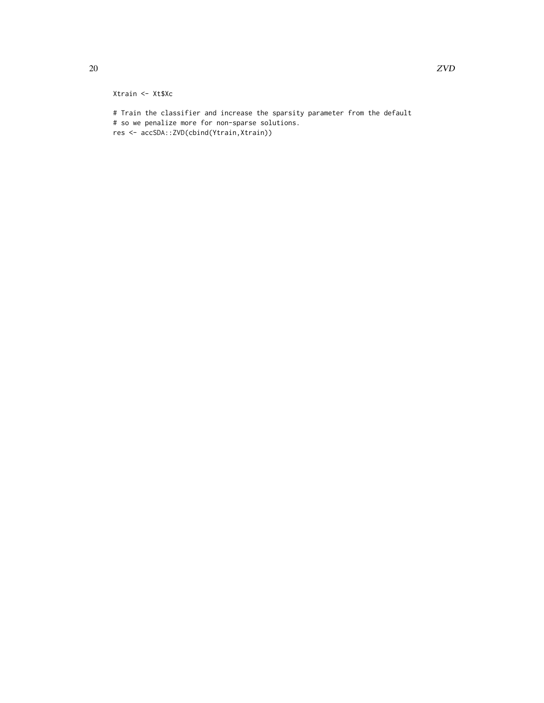# Xtrain <- Xt\$Xc

# Train the classifier and increase the sparsity parameter from the default # so we penalize more for non-sparse solutions. res <- accSDA::ZVD(cbind(Ytrain,Xtrain))